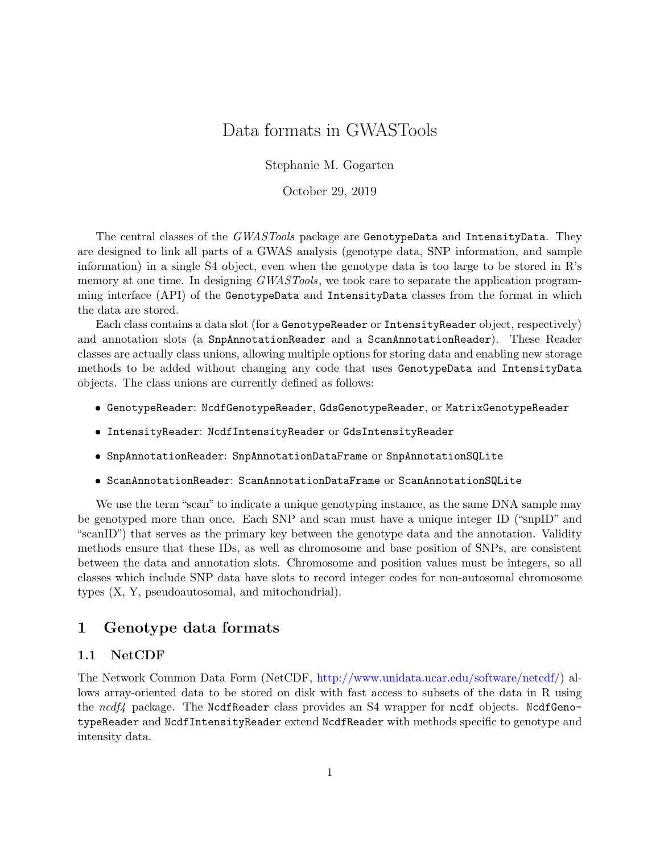# Data formats in GWASTools

Stephanie M. Gogarten

October 29, 2019

The central classes of the GWASTools package are GenotypeData and IntensityData. They are designed to link all parts of a GWAS analysis (genotype data, SNP information, and sample information) in a single S4 object, even when the genotype data is too large to be stored in R's memory at one time. In designing *GWASTools*, we took care to separate the application programming interface (API) of the GenotypeData and IntensityData classes from the format in which the data are stored.

Each class contains a data slot (for a GenotypeReader or IntensityReader object, respectively) and annotation slots (a SnpAnnotationReader and a ScanAnnotationReader). These Reader classes are actually class unions, allowing multiple options for storing data and enabling new storage methods to be added without changing any code that uses GenotypeData and IntensityData objects. The class unions are currently defined as follows:

- GenotypeReader: NcdfGenotypeReader, GdsGenotypeReader, or MatrixGenotypeReader
- IntensityReader: NcdfIntensityReader or GdsIntensityReader
- SnpAnnotationReader: SnpAnnotationDataFrame or SnpAnnotationSQLite
- ScanAnnotationReader: ScanAnnotationDataFrame or ScanAnnotationSQLite

We use the term "scan" to indicate a unique genotyping instance, as the same DNA sample may be genotyped more than once. Each SNP and scan must have a unique integer ID ("snpID" and "scanID") that serves as the primary key between the genotype data and the annotation. Validity methods ensure that these IDs, as well as chromosome and base position of SNPs, are consistent between the data and annotation slots. Chromosome and position values must be integers, so all classes which include SNP data have slots to record integer codes for non-autosomal chromosome types (X, Y, pseudoautosomal, and mitochondrial).

# 1 Genotype data formats

## 1.1 NetCDF

The Network Common Data Form (NetCDF, [http://www.unidata.ucar.edu/software/netcdf/\)](http://www.unidata.ucar.edu/software/netcdf/) allows array-oriented data to be stored on disk with fast access to subsets of the data in R using the  $ncdf<sub>4</sub>$  package. The NcdfReader class provides an S4 wrapper for ncdf objects. NcdfGenotypeReader and NcdfIntensityReader extend NcdfReader with methods specific to genotype and intensity data.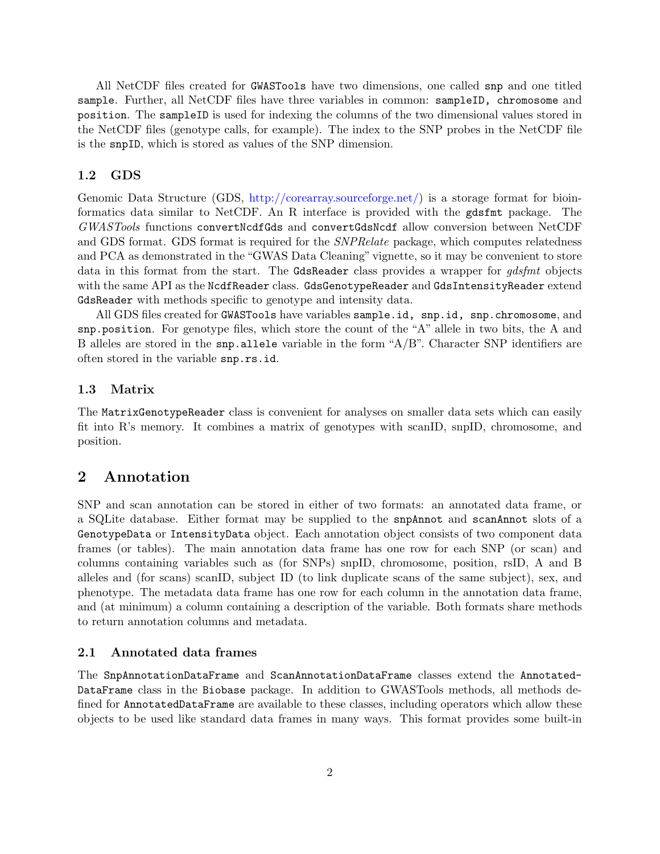All NetCDF files created for GWASTools have two dimensions, one called snp and one titled sample. Further, all NetCDF files have three variables in common: sampleID, chromosome and position. The sampleID is used for indexing the columns of the two dimensional values stored in the NetCDF files (genotype calls, for example). The index to the SNP probes in the NetCDF file is the snpID, which is stored as values of the SNP dimension.

#### 1.2 GDS

Genomic Data Structure (GDS, [http://corearray.sourceforge.net/\)](http://corearray.sourceforge.net/) is a storage format for bioinformatics data similar to NetCDF. An R interface is provided with the gdsfmt package. The GWASTools functions convertNcdfGds and convertGdsNcdf allow conversion between NetCDF and GDS format. GDS format is required for the SNPRelate package, which computes relatedness and PCA as demonstrated in the "GWAS Data Cleaning" vignette, so it may be convenient to store data in this format from the start. The GdsReader class provides a wrapper for *gdsfmt* objects with the same API as the NcdfReader class. GdsGenotypeReader and GdsIntensityReader extend GdsReader with methods specific to genotype and intensity data.

All GDS files created for GWASTools have variables sample.id, snp.id, snp.chromosome, and snp.position. For genotype files, which store the count of the "A" allele in two bits, the A and B alleles are stored in the snp.allele variable in the form "A/B". Character SNP identifiers are often stored in the variable snp.rs.id.

#### 1.3 Matrix

The MatrixGenotypeReader class is convenient for analyses on smaller data sets which can easily fit into R's memory. It combines a matrix of genotypes with scanID, snpID, chromosome, and position.

# 2 Annotation

SNP and scan annotation can be stored in either of two formats: an annotated data frame, or a SQLite database. Either format may be supplied to the snpAnnot and scanAnnot slots of a GenotypeData or IntensityData object. Each annotation object consists of two component data frames (or tables). The main annotation data frame has one row for each SNP (or scan) and columns containing variables such as (for SNPs) snpID, chromosome, position, rsID, A and B alleles and (for scans) scanID, subject ID (to link duplicate scans of the same subject), sex, and phenotype. The metadata data frame has one row for each column in the annotation data frame, and (at minimum) a column containing a description of the variable. Both formats share methods to return annotation columns and metadata.

#### 2.1 Annotated data frames

The SnpAnnotationDataFrame and ScanAnnotationDataFrame classes extend the Annotated-DataFrame class in the Biobase package. In addition to GWASTools methods, all methods defined for AnnotatedDataFrame are available to these classes, including operators which allow these objects to be used like standard data frames in many ways. This format provides some built-in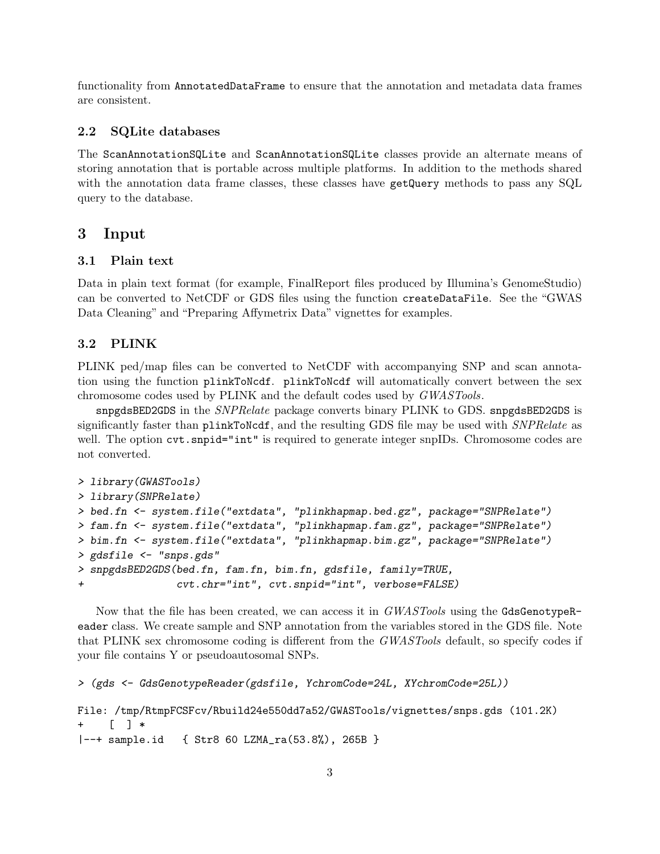functionality from AnnotatedDataFrame to ensure that the annotation and metadata data frames are consistent.

#### 2.2 SQLite databases

The ScanAnnotationSQLite and ScanAnnotationSQLite classes provide an alternate means of storing annotation that is portable across multiple platforms. In addition to the methods shared with the annotation data frame classes, these classes have getQuery methods to pass any SQL query to the database.

### 3 Input

#### 3.1 Plain text

Data in plain text format (for example, FinalReport files produced by Illumina's GenomeStudio) can be converted to NetCDF or GDS files using the function createDataFile. See the "GWAS Data Cleaning" and "Preparing Affymetrix Data" vignettes for examples.

#### 3.2 PLINK

PLINK ped/map files can be converted to NetCDF with accompanying SNP and scan annotation using the function plinkToNcdf. plinkToNcdf will automatically convert between the sex chromosome codes used by PLINK and the default codes used by GWASTools.

snpgdsBED2GDS in the SNPRelate package converts binary PLINK to GDS. snpgdsBED2GDS is significantly faster than plinkToNcdf, and the resulting GDS file may be used with *SNPRelate* as well. The option  $\text{cvt}$  snpid="int" is required to generate integer snpIDs. Chromosome codes are not converted.

```
> library(GWASTools)
> library(SNPRelate)
> bed.fn <- system.file("extdata", "plinkhapmap.bed.gz", package="SNPRelate")
> fam.fn <- system.file("extdata", "plinkhapmap.fam.gz", package="SNPRelate")
> bim.fn <- system.file("extdata", "plinkhapmap.bim.gz", package="SNPRelate")
> gdsfile <- "snps.gds"
> snpgdsBED2GDS(bed.fn, fam.fn, bim.fn, gdsfile, family=TRUE,
+ cvt.chr="int", cvt.snpid="int", verbose=FALSE)
```
Now that the file has been created, we can access it in *GWASTools* using the GdsGenotypeReader class. We create sample and SNP annotation from the variables stored in the GDS file. Note that PLINK sex chromosome coding is different from the GWASTools default, so specify codes if your file contains Y or pseudoautosomal SNPs.

```
> (gds <- GdsGenotypeReader(gdsfile, YchromCode=24L, XYchromCode=25L))
```

```
File: /tmp/RtmpFCSFcv/Rbuild24e550dd7a52/GWASTools/vignettes/snps.gds (101.2K)
     [ ] *
|--+ sample.id { Str8 60 LZMA_ra(53.8%), 265B }
```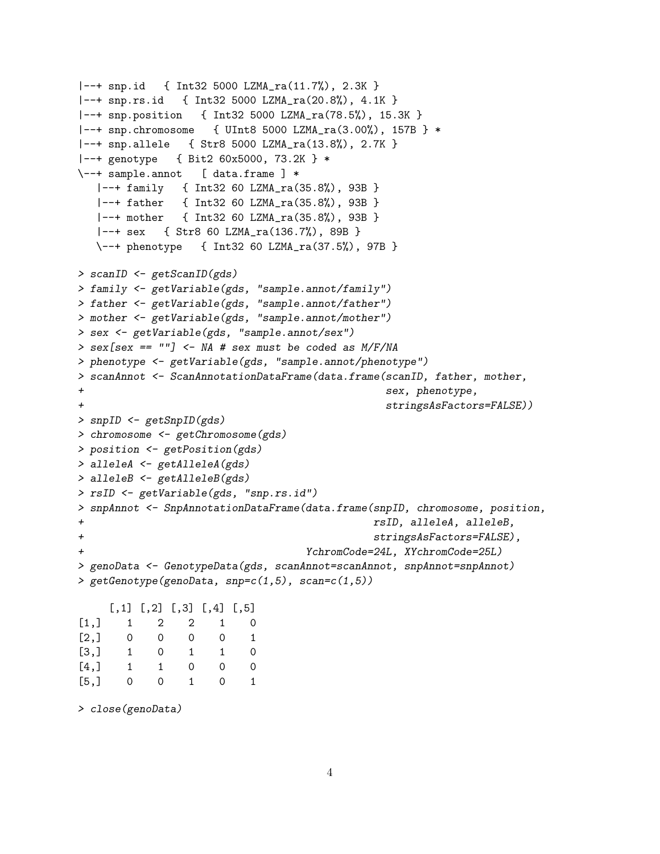```
|--+ snp.id { Int32 5000 LZMA_ra(11.7%), 2.3K }
|--+ snp.rs.id { Int32 5000 LZMA_ra(20.8%), 4.1K }
|--+ snp.position { Int32 5000 LZMA_ra(78.5%), 15.3K }
|--+ snp.chromosome { UInt8 5000 LZMA_ra(3.00%), 157B } *
|--+ snp.allele { Str8 5000 LZMA_ra(13.8%), 2.7K }
|--+ genotype { Bit2 60x5000, 73.2K } *
\--+ sample.annot [ data.frame ] *
  |--+ family { Int32 60 LZMA_ra(35.8%), 93B }
  |--+ father { Int32 60 LZMA_ra(35.8%), 93B }
  |--+ mother { Int32 60 LZMA_ra(35.8%), 93B }
  |--+ sex { Str8 60 LZMA_ra(136.7%), 89B }
  \--+ phenotype { Int32 60 LZMA_ra(37.5%), 97B }
> scanID <- getScanID(gds)
> family <- getVariable(gds, "sample.annot/family")
> father <- getVariable(gds, "sample.annot/father")
> mother <- getVariable(gds, "sample.annot/mother")
> sex <- getVariable(gds, "sample.annot/sex")
> sex[sex == ""] <- NA # sex must be coded as M/F/NA
> phenotype <- getVariable(gds, "sample.annot/phenotype")
> scanAnnot <- ScanAnnotationDataFrame(data.frame(scanID, father, mother,
+ sex, phenotype,
+ stringsAsFactors=FALSE))
> snpID <- getSnpID(gds)
> chromosome <- getChromosome(gds)
> position <- getPosition(gds)
> alleleA <- getAlleleA(gds)
> alleleB <- getAlleleB(gds)
> rsID <- getVariable(gds, "snp.rs.id")
> snpAnnot <- SnpAnnotationDataFrame(data.frame(snpID, chromosome, position,
+ rsID, alleleA, alleleB,
+ stringsAsFactors=FALSE),
+ YchromCode=24L, XYchromCode=25L)
> genoData <- GenotypeData(gds, scanAnnot=scanAnnot, snpAnnot=snpAnnot)
> getGenotype(genoData, snp=c(1,5), scan=c(1,5))
    \left[1, 1\right] \left[1, 2\right] \left[1, 3\right] \left[1, 4\right] \left[1, 5\right][1,] 1 2 2 1 0
[2,] 0 0 0 0 1
[3,] 1 0 1 1 0
[4,] 1 1 0 0 0
[5,] 0 0 1 0 1
```
> close(genoData)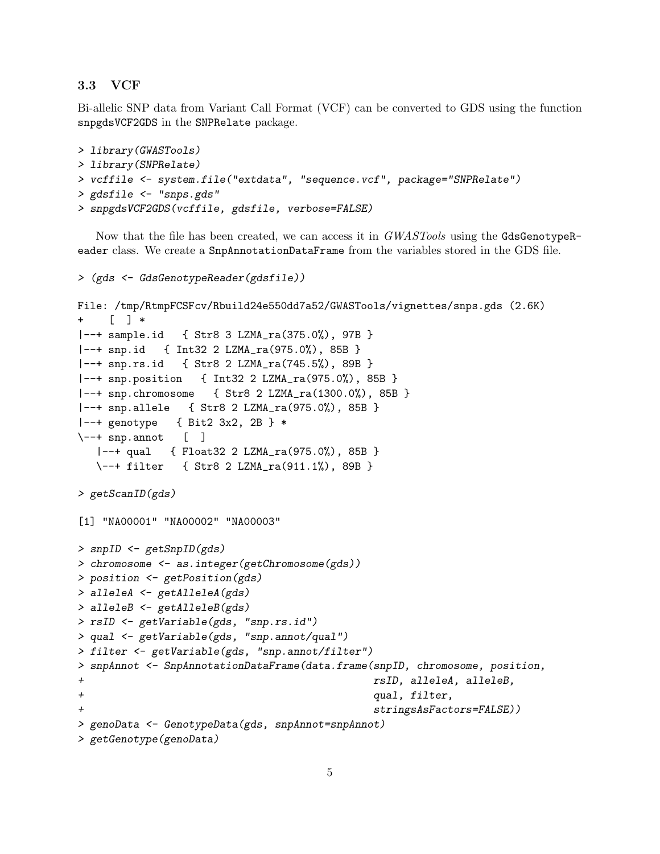#### 3.3 VCF

Bi-allelic SNP data from Variant Call Format (VCF) can be converted to GDS using the function snpgdsVCF2GDS in the SNPRelate package.

```
> library(GWASTools)
> library(SNPRelate)
> vcffile <- system.file("extdata", "sequence.vcf", package="SNPRelate")
> gdsfile <- "snps.gds"
> snpgdsVCF2GDS(vcffile, gdsfile, verbose=FALSE)
```
Now that the file has been created, we can access it in GWASTools using the GdsGenotypeReader class. We create a SnpAnnotationDataFrame from the variables stored in the GDS file.

```
> (gds <- GdsGenotypeReader(gdsfile))
File: /tmp/RtmpFCSFcv/Rbuild24e550dd7a52/GWASTools/vignettes/snps.gds (2.6K)
    [\quad] *
|--+ sample.id { Str8 3 LZMA_ra(375.0%), 97B }
|--+ snp.id { Int32 2 LZMA_ra(975.0%), 85B }
|--+ snp.rs.id { Str8 2 LZMA_ra(745.5%), 89B }
|--+ snp.position { Int32 2 LZMA_ra(975.0%), 85B }
|--+ snp.chromosome { Str8 2 LZMA_ra(1300.0%), 85B }
|--+ snp.allele { Str8 2 LZMA_ra(975.0%), 85B }
|--+ genotype { Bit2 3x2, 2B } *
\--+ snp.annot [ ]
  |--+ qual { Float32 2 LZMA_ra(975.0%), 85B }
  \--+ filter { Str8 2 LZMA_ra(911.1%), 89B }
> getScanID(gds)
[1] "NA00001" "NA00002" "NA00003"
> snpID <- getSnpID(gds)
> chromosome <- as.integer(getChromosome(gds))
> position <- getPosition(gds)
> alleleA <- getAlleleA(gds)
> alleleB <- getAlleleB(gds)
> rsID <- getVariable(gds, "snp.rs.id")
> qual <- getVariable(gds, "snp.annot/qual")
> filter <- getVariable(gds, "snp.annot/filter")
> snpAnnot <- SnpAnnotationDataFrame(data.frame(snpID, chromosome, position,
+ rsID, alleleA, alleleB,
+ qual, filter,
+ stringsAsFactors=FALSE))
> genoData <- GenotypeData(gds, snpAnnot=snpAnnot)
> getGenotype(genoData)
```